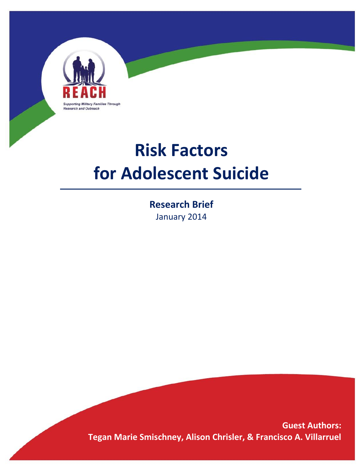

# **Risk Factors for Adolescent Suicide**

**Research Brief** January 2014

**Guest Authors: Tegan Marie Smischney, Alison Chrisler, & Francisco A. Villarruel**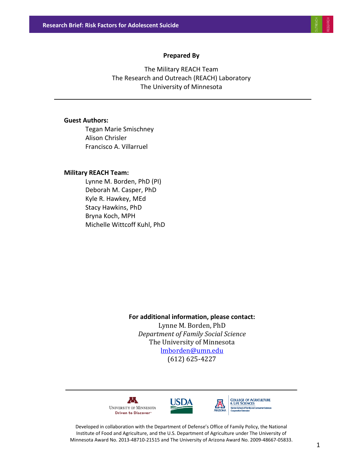#### **Prepared By**

The Military REACH Team The Research and Outreach (REACH) Laboratory The University of Minnesota

#### **Guest Authors:**

Tegan Marie Smischney Alison Chrisler Francisco A. Villarruel

#### **Military REACH Team:**

Lynne M. Borden, PhD (PI) Deborah M. Casper, PhD Kyle R. Hawkey, MEd Stacy Hawkins, PhD Bryna Koch, MPH Michelle Wittcoff Kuhl, PhD

## **For additional information, please contact:** Lynne M. Borden, PhD *Department of Family Social Science* The University of Minnesota [lmborden@umn.edu](mailto:lmborden@umn.edu) (612) 625-4227





**COLLEGE OF AGRICULTURE & LIFE SCIENCES** 

Developed in collaboration with the Department of Defense's Office of Family Policy, the National Institute of Food and Agriculture, and the U.S. Department of Agriculture under The University of Minnesota Award No. 2013-48710-21515 and The University of Arizona Award No. 2009-48667-05833.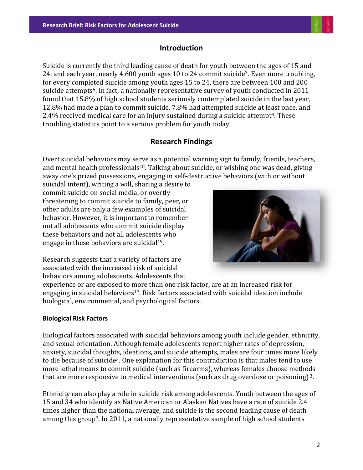# **Introduction**

Suicide is currently the third leading cause of death for youth between the ages of 15 and 24, and each year, nearly 4,600 youth ages 10 to 24 commit suicide3. Even more troubling, for every completed suicide among youth ages 15 to 24, there are between 100 and 200 suicide attempts6. In fact, a nationally representative survey of youth conducted in 2011 found that 15.8% of high school students seriously contemplated suicide in the last year, 12.8% had made a plan to commit suicide, 7.8% had attempted suicide at least once, and  $2.4\%$  received medical care for an injury sustained during a suicide attempt<sup>4</sup>. These troubling statistics point to a serious problem for youth today.

# **Research Findings**

Overt suicidal behaviors may serve as a potential warning sign to family, friends, teachers, and mental health professionals<sup>18</sup>. Talking about suicide, or wishing one was dead, giving away one's prized possessions, engaging in self-destructive behaviors (with or without

suicidal intent), writing a will, sharing a desire to commit suicide on social media, or overtly threatening to commit suicide to family, peer, or other adults are only a few examples of suicidal behavior. However, it is important to remember not all adolescents who commit suicide display these behaviors and not all adolescents who engage in these behaviors are suicidal19.



Research suggests that a variety of factors are associated with the increased risk of suicidal behaviors among adolescents. Adolescents that

experience or are exposed to more than one risk factor, are at an increased risk for engaging in suicidal behaviors<sup>17</sup>. Risk factors associated with suicidal ideation include biological, environmental, and psychological factors.

## **Biological Risk Factors**

Biological factors associated with suicidal behaviors among youth include gender, ethnicity, and sexual orientation. Although female adolescents report higher rates of depression, anxiety, suicidal thoughts, ideations, and suicide attempts, males are four times more likely to die because of suicide<sup>3</sup>. One explanation for this contradiction is that males tend to use more lethal means to commit suicide (such as firearms), whereas females choose methods that are more responsive to medical interventions (such as drug overdose or poisoning) <sup>3</sup>.

Ethnicity can also play a role in suicide risk among adolescents. Youth between the ages of 15 and 34 who identify as Native American or Alaskan Natives have a rate of suicide 2.4 times higher than the national average, and suicide is the second leading cause of death among this group3. In 2011, a nationally representative sample of high school students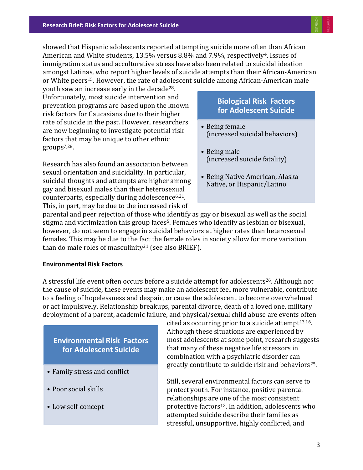showed that Hispanic adolescents reported attempting suicide more often than African American and White students, 13.5% versus 8.8% and 7.9%, respectively<sup>4</sup>. Issues of immigration status and acculturative stress have also been related to suicidal ideation amongst Latinas, who report higher levels of suicide attempts than their African-American or White peers<sup>15</sup>. However, the rate of adolescent suicide among African-American male

youth saw an increase early in the decade28. Unfortunately, most suicide intervention and prevention programs are based upon the known risk factors for Caucasians due to their higher rate of suicide in the past. However, researchers are now beginning to investigate potential risk factors that may be unique to other ethnic groups7,28.

Research has also found an association between sexual orientation and suicidality. In particular, suicidal thoughts and attempts are higher among gay and bisexual males than their heterosexual counterparts, especially during adolescence6,21. This, in part, may be due to the increased risk of

# **Biological Risk Factors for Adolescent Suicide**

- Being female (increased suicidal behaviors)
- Being male (increased suicide fatality)
- Being Native American, Alaska Native, or Hispanic/Latino

parental and peer rejection of those who identify as gay or bisexual as well as the social stigma and victimization this group faces<sup>5</sup>. Females who identify as lesbian or bisexual, however, do not seem to engage in suicidal behaviors at higher rates than heterosexual females. This may be due to the fact the female roles in society allow for more variation than do male roles of masculinity<sup>21</sup> (see also BRIEF).

#### **Environmental Risk Factors**

A stressful life event often occurs before a suicide attempt for adolescents<sup>26</sup>. Although not the cause of suicide, these events may make an adolescent feel more vulnerable, contribute to a feeling of hopelessness and despair, or cause the adolescent to become overwhelmed or act impulsively. Relationship breakups, parental divorce, death of a loved one, military deployment of a parent, academic failure, and physical/sexual child abuse are events often

# **Environmental Risk Factors for Adolescent Suicide**

- Family stress and conflict
- Poor social skills
- Low self-concept

cited as occurring prior to a suicide attempt $13,16$ . Although these situations are experienced by most adolescents at some point, research suggests that many of these negative life stressors in combination with a psychiatric disorder can greatly contribute to suicide risk and behaviors25.

Still, several environmental factors can serve to protect youth. For instance, positive parental relationships are one of the most consistent protective factors<sup>13</sup>. In addition, adolescents who attempted suicide describe their families as stressful, unsupportive, highly conflicted, and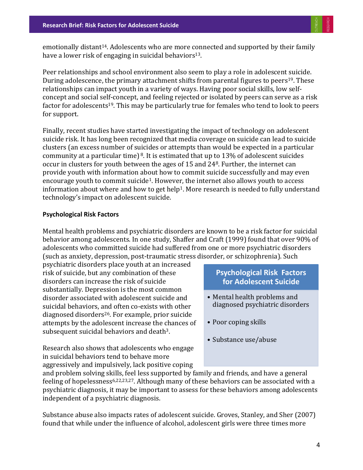emotionally distant<sup>14</sup>. Adolescents who are more connected and supported by their family have a lower risk of engaging in suicidal behaviors<sup>13</sup>.

Peer relationships and school environment also seem to play a role in adolescent suicide. During adolescence, the primary attachment shifts from parental figures to peers <sup>19</sup>. These relationships can impact youth in a variety of ways. Having poor social skills, low selfconcept and social self-concept, and feeling rejected or isolated by peers can serve as a risk factor for adolescents<sup>19</sup>. This may be particularly true for females who tend to look to peers for support.

Finally, recent studies have started investigating the impact of technology on adolescent suicide risk. It has long been recognized that media coverage on suicide can lead to suicide clusters (an excess number of suicides or attempts than would be expected in a particular community at a particular time)  $\delta$ . It is estimated that up to 13% of adolescent suicides occur in clusters for youth between the ages of 15 and 248. Further, the internet can provide youth with information about how to commit suicide successfully and may even encourage youth to commit suicide1. However, the internet also allows youth to access information about where and how to get help<sup>1</sup>. More research is needed to fully understand technology's impact on adolescent suicide.

#### **Psychological Risk Factors**

Mental health problems and psychiatric disorders are known to be a risk factor for suicidal behavior among adolescents. In one study, Shaffer and Craft (1999) found that over 90% of adolescents who committed suicide had suffered from one or more psychiatric disorders (such as anxiety, depression, post-traumatic stress disorder, or schizophrenia). Such

psychiatric disorders place youth at an increased risk of suicide, but any combination of these disorders can increase the risk of suicide substantially. Depression is the most common disorder associated with adolescent suicide and suicidal behaviors, and often co-exists with other diagnosed disorders26. For example, prior suicide attempts by the adolescent increase the chances of subsequent suicidal behaviors and death<sup>3</sup>.

Research also shows that adolescents who engage in suicidal behaviors tend to behave more aggressively and impulsively, lack positive coping

# **Psychological Risk Factors for Adolescent Suicide**

- Mental health problems and diagnosed psychiatric disorders
- Poor coping skills
- Substance use/abuse

and problem solving skills, feel less supported by family and friends, and have a general feeling of hopelessness6,22,23,27. Although many of these behaviors can be associated with a psychiatric diagnosis, it may be important to assess for these behaviors among adolescents independent of a psychiatric diagnosis.

Substance abuse also impacts rates of adolescent suicide. Groves, Stanley, and Sher (2007) found that while under the influence of alcohol, adolescent girls were three times more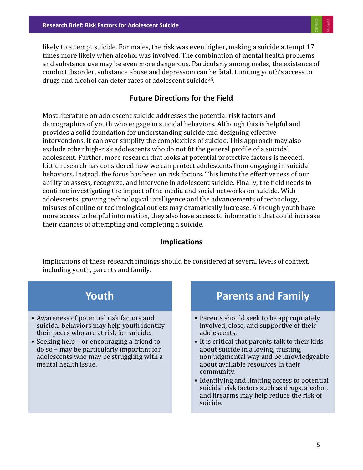likely to attempt suicide. For males, the risk was even higher, making a suicide attempt 17 times more likely when alcohol was involved. The combination of mental health problems and substance use may be even more dangerous. Particularly among males, the existence of conduct disorder, substance abuse and depression can be fatal. Limiting youth's access to drugs and alcohol can deter rates of adolescent suicide25.

# **Future Directions for the Field**

Most literature on adolescent suicide addresses the potential risk factors and demographics of youth who engage in suicidal behaviors. Although this is helpful and provides a solid foundation for understanding suicide and designing effective interventions, it can over simplify the complexities of suicide. This approach may also exclude other high-risk adolescents who do not fit the general profile of a suicidal adolescent. Further, more research that looks at potential protective factors is needed. Little research has considered how we can protect adolescents from engaging in suicidal behaviors. Instead, the focus has been on risk factors. This limits the effectiveness of our ability to assess, recognize, and intervene in adolescent suicide. Finally, the field needs to continue investigating the impact of the media and social networks on suicide. With adolescents' growing technological intelligence and the advancements of technology, misuses of online or technological outlets may dramatically increase. Although youth have more access to helpful information, they also have access to information that could increase their chances of attempting and completing a suicide.

#### **Implications**

Implications of these research findings should be considered at several levels of context, including youth, parents and family.



# **Parents and Family**

- Parents should seek to be appropriately involved, close, and supportive of their adolescents.
- It is critical that parents talk to their kids about suicide in a loving, trusting, nonjudgmental way and be knowledgeable about available resources in their community.
- Identifying and limiting access to potential suicidal risk factors such as drugs, alcohol, and firearms may help reduce the risk of suicide.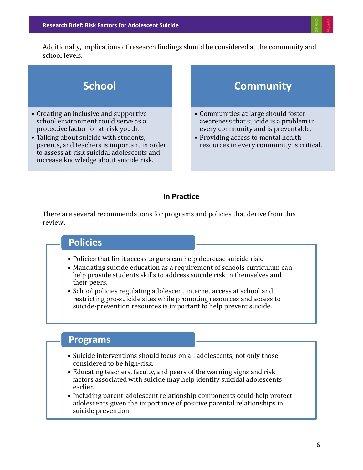Additionally, implications of research findings should be considered at the community and school levels.



## **In Practice**

There are several recommendations for programs and policies that derive from this review:

# **Policies**

- Policies that limit access to guns can help decrease suicide risk.
- Mandating suicide education as a requirement of schools curriculum can help provide students skills to address suicide risk in themselves and their peers.
- School policies regulating adolescent internet access at school and restricting pro-suicide sites while promoting resources and access to suicide-prevention resources is important to help prevent suicide.

# **Programs**

- Suicide interventions should focus on all adolescents, not only those considered to be high-risk.
- Educating teachers, faculty, and peers of the warning signs and risk factors associated with suicide may help identify suicidal adolescents earlier.
- Including parent-adolescent relationship components could help protect adolescents given the importance of positive parental relationships in suicide prevention.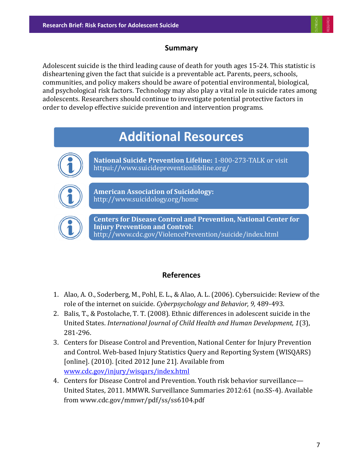# **Summary**

Adolescent suicide is the third leading cause of death for youth ages 15-24. This statistic is disheartening given the fact that suicide is a preventable act. Parents, peers, schools, communities, and policy makers should be aware of potential environmental, biological, and psychological risk factors. Technology may also play a vital role in suicide rates among adolescents. Researchers should continue to investigate potential protective factors in order to develop effective suicide prevention and intervention programs.

# **Additional Resources**



**National Suicide Prevention Lifeline:** 1-800-273-TALK or visit httpui://www.suicidepreventionlifeline.org/



**American Association of Suicidology:**  http://www.suicidology.org/home



**Centers for Disease Control and Prevention, National Center for Injury Prevention and Control:**  http://www.cdc.gov/ViolencePrevention/suicide/index.html

# **References**

- 1. Alao, A. O., Soderberg, M., Pohl, E. L., & Alao, A. L. (2006). Cybersuicide: Review of the role of the internet on suicide. *Cyberpsychology and Behavior, 9,* 489-493.
- 2. Balis, T., & Postolache, T. T. (2008). Ethnic differences in adolescent suicide in the United States. *International Journal of Child Health and Human Development, 1*(3), 281-296.
- 3. Centers for Disease Control and Prevention, National Center for Injury Prevention and Control. Web-based Injury Statistics Query and Reporting System (WISQARS) [online]. (2010). [cited 2012 June 21]. Available from [www.cdc.gov/injury/wisqars/index.html](http://www.cdc.gov/injury/wisqars/index.html)
- 4. Centers for Disease Control and Prevention. Youth risk behavior surveillance— United States, 2011. MMWR. Surveillance Summaries 2012:61 (no.SS-4). Available from www.cdc.gov/mmwr/pdf/ss/ss6104.pdf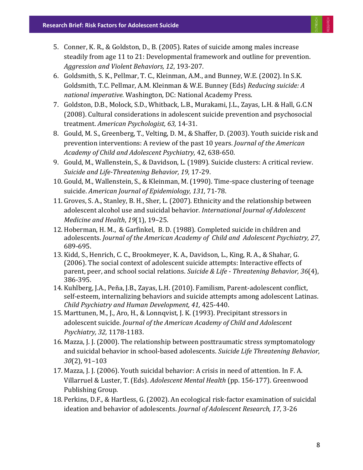- 5. Conner, K. R., & Goldston, D., B. (2005). Rates of suicide among males increase steadily from age 11 to 21: Developmental framework and outline for prevention. *Aggression and Violent Behaviors, 12*, 193-207.
- 6. Goldsmith, S. K., Pellmar, T. C., Kleinman, A.M., and Bunney, W.E. (2002). In S.K. Goldsmith, T.C. Pellmar, A.M. Kleinman & W.E. Bunney (Eds) *Reducing suicide: A national imperative.* Washington, DC: National Academy Press.
- 7. Goldston, D.B., Molock, S.D., Whitback, L.B., Murakami, J.L., Zayas, L.H. & Hall, G.C.N (2008). Cultural considerations in adolescent suicide prevention and psychosocial treatment. *American Psychologist, 63,* 14-31.
- 8. Gould, M. S., Greenberg, T., Velting, D. M., & Shaffer, D. (2003). Youth suicide risk and prevention interventions: A review of the past 10 years. *Journal of the American Academy of Child and Adolescent Psychiatry,* 42, 638-650.
- 9. Gould, M., Wallenstein, S., & Davidson, L. (1989). Suicide clusters: A critical review. *Suicide and Life-Threatening Behavior, 19,* 17-29.
- 10. Gould, M., Wallenstein, S., & Kleinman, M. (1990). Time-space clustering of teenage suicide. *American Journal of Epidemiology, 131,* 71-78.
- 11. Groves, S. A., Stanley, B. H., Sher, L. (2007). Ethnicity and the relationship between adolescent alcohol use and suicidal behavior. *International Journal of Adolescent Medicine and Health*, *19*(1), 19–25.
- 12. Hoberman, H. M., & Garfinkel, B. D. (1988). Completed suicide in children and adolescents. *Journal of the American Academy of Child and Adolescent Psychiatry, 27*, 689-695.
- 13. Kidd, S., Henrich, C. C., Brookmeyer, K. A., Davidson, L., King, R. A., & Shahar, G. (2006). The social context of adolescent suicide attempts: Interactive effects of parent, peer, and school social relations. *Suicide & Life - Threatening Behavior, 36*(4), 386-395.
- 14. Kuhlberg, J.A., Peña, J.B., Zayas, L.H. (2010). Familism, Parent-adolescent conflict, self-esteem, internalizing behaviors and suicide attempts among adolescent Latinas. *Child Psychiatry and Human Development, 41,* 425-440.
- 15. Marttunen, M., J., Aro, H., & Lonnqvist, J. K. (1993). Precipitant stressors in adolescent suicide. *Journal of the American Academy of Child and Adolescent Psychiatry, 32,* 1178-1183.
- 16. Mazza, J. J. (2000). The relationship between posttraumatic stress symptomatology and suicidal behavior in school-based adolescents. *Suicide Life Threatening Behavior, 30*(2), 91–103
- 17. Mazza, J. J. (2006). Youth suicidal behavior: A crisis in need of attention. In F. A. Villarruel & Luster, T. (Eds). *Adolescent Mental Health* (pp. 156-177). Greenwood Publishing Group.
- 18. Perkins, D.F., & Hartless, G. (2002). An ecological risk-factor examination of suicidal ideation and behavior of adolescents. *Journal of Adolescent Research, 17*, 3-26